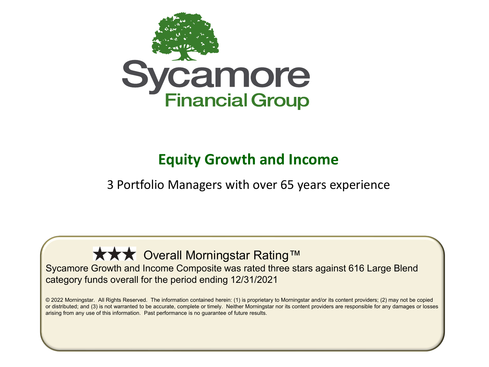

#### **Equity Growth and Income**

3 Portfolio Managers with over 65 years experience

**★★★** Overall Morningstar Rating™ Sycamore Growth and Income Composite was rated three stars against 616 Large Blend category funds overall for the period ending 12/31/2021

© 2022 Morningstar. All Rights Reserved. The information contained herein: (1) is proprietary to Morningstar and/or its content providers; (2) may not be copied or distributed; and (3) is not warranted to be accurate, complete or timely. Neither Morningstar nor its content providers are responsible for any damages or losses arising from any use of this information. Past performance is no guarantee of future results.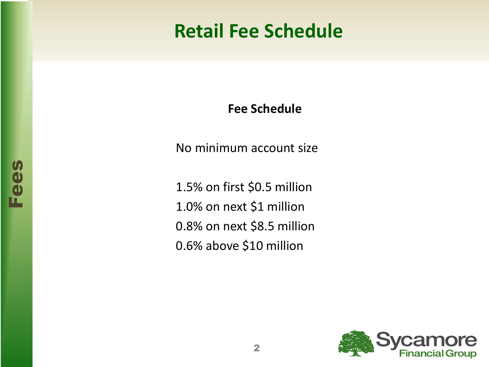### **Retail Fee Schedule**

**Fee Schedule**

No minimum account size

1.5% on first \$0.5 million 1.0% on next \$1 million 0.8% on next \$8.5 million 0.6% above \$10 million

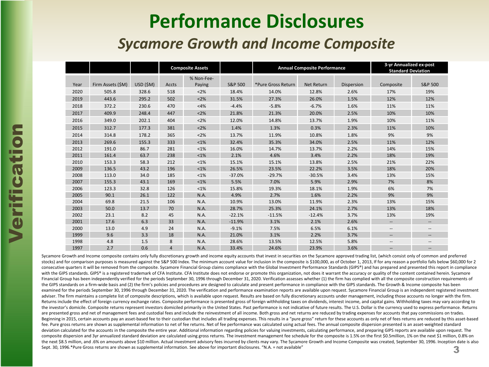### **Performance Disclosures**

#### *Sycamore Growth and Income Composite*

|      |                   |          | <b>Composite Assets</b> |                      |          | <b>Annual Composite Performance</b> |                   | 3-yr Annualized ex-post<br><b>Standard Deviation</b> |                          |                          |
|------|-------------------|----------|-------------------------|----------------------|----------|-------------------------------------|-------------------|------------------------------------------------------|--------------------------|--------------------------|
| Year | Firm Assets (\$M) | USD (SM) | Accts                   | % Non-Fee-<br>Paying | S&P 500  | *Pure Gross Return                  | <b>Net Return</b> | Dispersion                                           | Composite                | S&P 500                  |
| 2020 | 505.8             | 328.6    | 518                     | < 2%                 | 18.4%    | 14.0%                               | 12.8%             | 2.6%                                                 | 17%                      | 19%                      |
| 2019 | 443.6             | 295.2    | 502                     | < 2%                 | 31.5%    | 27.3%                               | 26.0%             | 1.5%                                                 | 12%                      | 12%                      |
| 2018 | 372.2             | 230.6    | 470                     | <4%                  | $-4.4%$  | $-5.8%$                             | $-6.7%$           | 1.6%                                                 | 11%                      | 11%                      |
| 2017 | 409.9             | 248.4    | 447                     | <2%                  | 21.8%    | 21.3%                               | 20.0%             | 2.5%                                                 | 10%                      | 10%                      |
| 2016 | 349.0             | 202.1    | 404                     | < 2%                 | 12.0%    | 14.8%                               | 13.7%             | 1.9%                                                 | 10%                      | 11%                      |
| 2015 | 312.7             | 177.3    | 381                     | <2%                  | 1.4%     | 1.3%                                | 0.3%              | 2.3%                                                 | 11%                      | 10%                      |
| 2014 | 314.8             | 178.2    | 365                     | < 2%                 | 13.7%    | 11.9%                               | 10.8%             | 1.8%                                                 | 9%                       | 9%                       |
| 2013 | 269.6             | 155.3    | 333                     | $< 1\%$              | 32.4%    | 35.3%                               | 34.0%             | 2.5%                                                 | 11%                      | 12%                      |
| 2012 | 191.0             | 86.7     | 281                     | $< 1\%$              | 16.0%    | 14.7%                               | 13.7%             | 2.2%                                                 | 14%                      | 15%                      |
| 2011 | 161.4             | 63.7     | 238                     | $< 1\%$              | 2.1%     | 4.6%                                | 3.4%              | 2.2%                                                 | 18%                      | 19%                      |
| 2010 | 153.3             | 58.3     | 212                     | $< 1\%$              | 15.1%    | 15.1%                               | 13.8%             | 2.5%                                                 | 21%                      | 22%                      |
| 2009 | 136.5             | 43.2     | 196                     | $< 1\%$              | 26.5%    | 23.5%                               | 22.2%             | 3.5%                                                 | 18%                      | 20%                      |
| 2008 | 113.0             | 34.0     | 185                     | $< 1\%$              | $-37.0%$ | $-29.7%$                            | $-30.5%$          | 3.4%                                                 | 13%                      | 15%                      |
| 2007 | 155.3             | 43.1     | 169                     | $< 1\%$              | 5.5%     | 7.0%                                | 5.9%              | 2.9%                                                 | 7%                       | 8%                       |
| 2006 | 123.3             | 32.8     | 126                     | $< 1\%$              | 15.8%    | 19.3%                               | 18.1%             | 1.9%                                                 | 6%                       | 7%                       |
| 2005 | 90.1              | 26.1     | 122                     | N.A.                 | 4.9%     | 2.7%                                | 1.6%              | 2.2%                                                 | 9%                       | 9%                       |
| 2004 | 69.8              | 21.5     | 106                     | N.A.                 | 10.9%    | 13.0%                               | 11.9%             | 2.3%                                                 | 13%                      | 15%                      |
| 2003 | 50.0              | 13.7     | 70                      | N.A.                 | 28.7%    | 25.3%                               | 24.1%             | 2.7%                                                 | 13%                      | 18%                      |
| 2002 | 23.1              | 8.2      | 45                      | N.A.                 | $-22.1%$ | $-11.5%$                            | $-12.4%$          | 3.7%                                                 | 13%                      | 19%                      |
| 2001 | 17.6              | 6.3      | 33                      | N.A.                 | $-11.9%$ | 3.1%                                | 2.1%              | 2.6%                                                 | $\qquad \qquad -$        | $\qquad \qquad -$        |
| 2000 | 13.0              | 4.9      | 24                      | N.A.                 | $-9.1%$  | 7.5%                                | 6.5%              | 6.1%                                                 | $\hspace{0.05cm} \ldots$ | $\hspace{0.05cm} \ldots$ |
| 1999 | 9.6               | 3.3      | 18                      | N.A.                 | 21.0%    | 3.1%                                | 2.2%              | 3.7%                                                 | $\frac{1}{2}$            | $\qquad \qquad -$        |
| 1998 | 4.8               | 1.5      | 8                       | N.A.                 | 28.6%    | 13.5%                               | 12.5%             | 5.8%                                                 | $\hspace{0.05cm} \ldots$ | $\hspace{0.05cm} \ldots$ |
| 1997 | 2.7               | 0.6      | $\overline{4}$          | N.A.                 | 33.4%    | 24.6%                               | 23.9%             | 3.6%                                                 | $\qquad \qquad -$        | $\qquad \qquad -$        |

Sycamore Growth and Income composite contains only fully discretionary growth and income equity accounts that invest in securities on the Sycamore approved trading list, (which consist only of common and preferred stocks) and for comparison purposes is measured against the S&P 500 Index. The minimum account value for inclusion in the composite is \$100,000, as of October 1, 2013, If for any reason a portfolio falls below \$60,000 for consecutive quarters it will be removed from the composite. Sycamore Financial Group claims compliance with the Global Investment Performance Standards (GIPS®) and has prepared and presented this report in compliance with the GIPS standards. GIPS® is a registered trademark of CFA Institute. CFA Institute does not endorse or promote this organization, not does it warrant the accuracy or quality of the content contained herein. Sycamore Financial Group has been independently verified for the periods September 30, 1996 through December 31, 2020. Verification assesses whether (1) the firm has complied with all the composite construction requirements of the GIPS standards on a firm-wide basis and (2) the firm's policies and procedures are designed to calculate and present performance in compliance with the GIPS standards. The Growth & Income composite has been examined for the periods September 30, 1996 through December 31, 2020. The verification and performance examination reports are available upon request. Sycamore Financial Group is an independent registered investment adviser. The firm maintains a complete list of composite descriptions, which is available upon request. Results are based on fully discretionary accounts under management, including those accounts no longer with the firm. Returns include the effect of foreign currency exchange rates. Composite performance is presented gross of foreign withholding taxes on dividends, interest income, and capital gains. Withholding taxes may vary according to the investor's domicile. Composite returns represent investors domiciled primarily in the United States. Past performance is not indicative of future results. The U.S. Dollar is the currency used to express performance. Re are presented gross and net of management fees and custodial fees and include the reinvestment of all income. Both gross and net returns are reduced by trading expenses for accounts that pay commissions on trades. Beginning in 2015, certain accounts pay an asset-based fee to their custodian that includes all trading expenses. This results in a "pure gross" return for these accounts as only net of fees returns are reduced by this ass fee. Pure gross returns are shown as supplemental information to net of fee returns. Net of fee performance was calculated using actual fees. The annual composite dispersion presented is an asset-weighted standard deviation calculated for the accounts in the composite the entire year. Additional information regarding policies for valuing investments, calculating performance, and preparing GIPS reports are available upon request. The composite dispersion and 3yr annualized standard deviation are calculated using gross returns. The investment management fee schedule for the composite is 1.5% on the first \$0.5million, 1% on the next \$1 million, 0.8% on the next \$8.5 million, and .6% on amounts above \$10 million. Actual investment advisory fees incurred by clients may vary. The Sycamore Growth and Income Composite was created, September 30, 1996. Inception date is also Sept. 30, 1996.\*Pure Gross returns are shown as supplemental information. See above for important disclosures. "N.A. = not available"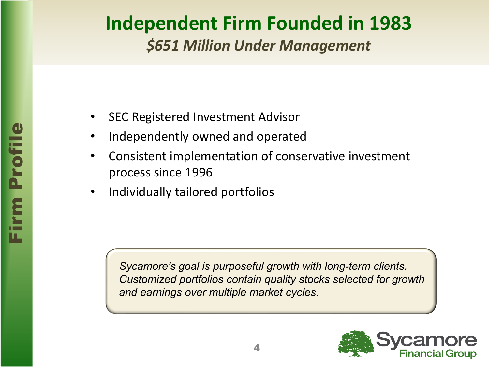# **Independent Firm Founded in 1983**

*\$651 Million Under Management*

- SEC Registered Investment Advisor
- Independently owned and operated
- Consistent implementation of conservative investment process since 1996
- Individually tailored portfolios

*Sycamore's goal is purposeful growth with long-term clients. Customized portfolios contain quality stocks selected for growth and earnings over multiple market cycles.*

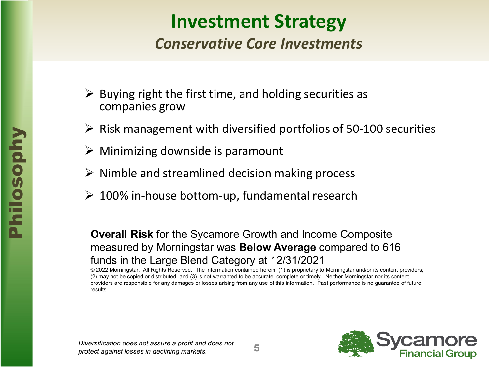### **Investment Strategy**

#### *Conservative Core Investments*

- $\triangleright$  Buying right the first time, and holding securities as companies grow
- $\triangleright$  Risk management with diversified portfolios of 50-100 securities
- $\triangleright$  Minimizing downside is paramount
- $\triangleright$  Nimble and streamlined decision making process
- $\geq 100\%$  in-house bottom-up, fundamental research

#### **Overall Risk** for the Sycamore Growth and Income Composite measured by Morningstar was **Below Average** compared to 616 funds in the Large Blend Category at 12/31/2021

© 2022 Morningstar. All Rights Reserved. The information contained herein: (1) is proprietary to Morningstar and/or its content providers; (2) may not be copied or distributed; and (3) is not warranted to be accurate, complete or timely. Neither Morningstar nor its content providers are responsible for any damages or losses arising from any use of this information. Past performance is no guarantee of future results.

*Diversification does not assure a profit and does not protect against losses in declining markets.*

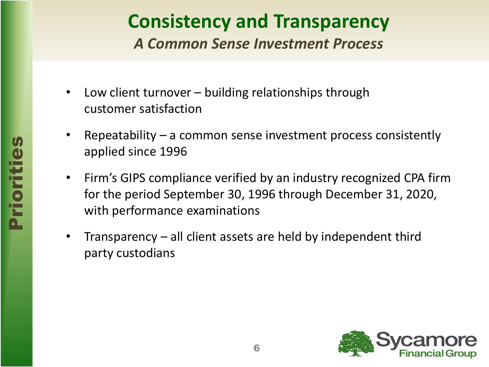# **Consistency and Transparency**

*A Common Sense Investment Process*

- Low client turnover building relationships through customer satisfaction
- Repeatability  $-$  a common sense investment process consistently applied since 1996
- Firm's GIPS compliance verified by an industry recognized CPA firm for the period September 30, 1996 through December 31, 2020, with performance examinations
- Transparency  $-$  all client assets are held by independent third party custodians

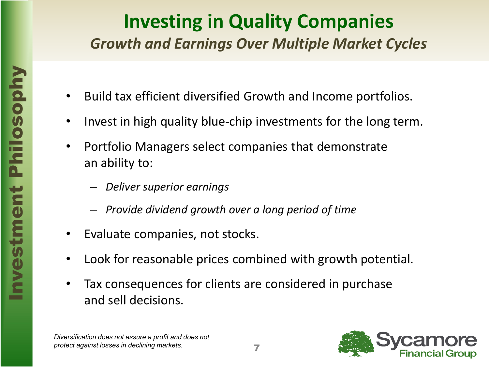#### **Investing in Quality Companies** *Growth and Earnings Over Multiple Market Cycles*

- Build tax efficient diversified Growth and Income portfolios.
- Invest in high quality blue-chip investments for the long term.
- Portfolio Managers select companies that demonstrate an ability to:
	- *Deliver superior earnings*
	- *Provide dividend growth over a long period of time*
- Evaluate companies, not stocks.
- Look for reasonable prices combined with growth potential.
- Tax consequences for clients are considered in purchase and sell decisions.

*Diversification does not assure a profit and does not protect against losses in declining markets.*

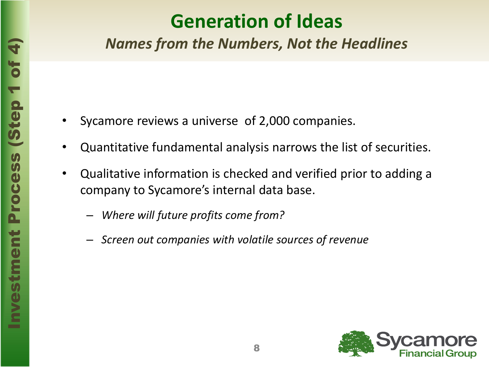# **Generation of Ideas**

*Names from the Numbers, Not the Headlines*

- Sycamore reviews a universe of 2,000 companies.
- Quantitative fundamental analysis narrows the list of securities.
- Qualitative information is checked and verified prior to adding a company to Sycamore's internal data base.
	- *Where will future profits come from?*
	- *Screen out companies with volatile sources of revenue*

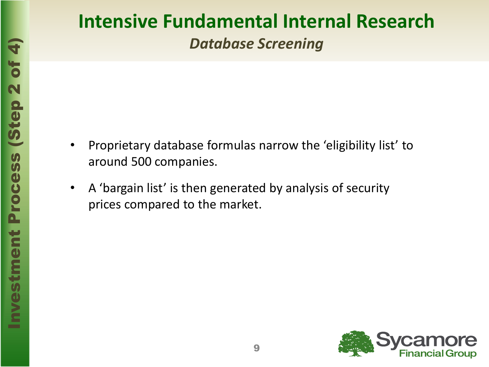### **Intensive Fundamental Internal Research** *Database Screening*

- Proprietary database formulas narrow the 'eligibility list' to around 500 companies.
- A 'bargain list' is then generated by analysis of security prices compared to the market.

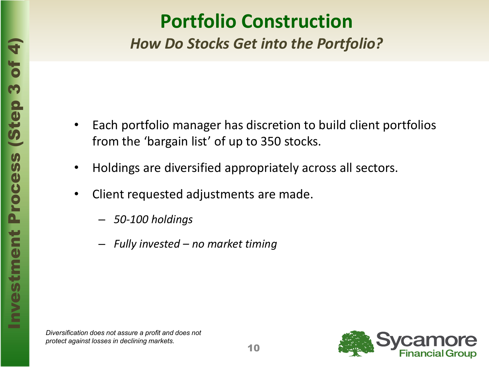### **Portfolio Construction**

*How Do Stocks Get into the Portfolio?*

- Each portfolio manager has discretion to build client portfolios from the 'bargain list' of up to 350 stocks.
- Holdings are diversified appropriately across all sectors.
- Client requested adjustments are made.
	- *50-100 holdings*
	- *Fully invested – no market timing*

*Diversification does not assure a profit and does not protect against losses in declining markets.*

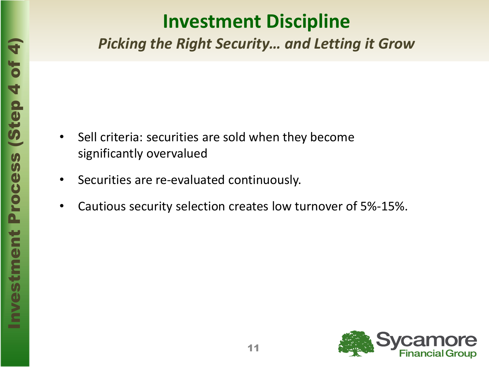# **Investment Discipline**

*Picking the Right Security… and Letting it Grow*

- Sell criteria: securities are sold when they become significantly overvalued
- Securities are re-evaluated continuously.
- Cautious security selection creates low turnover of 5%-15%.

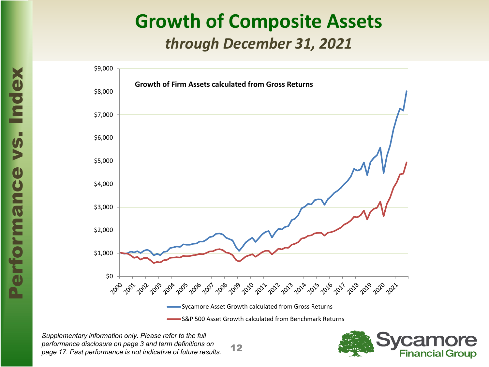#### **Growth of Composite Assets** *through December 31, 2021*



12 *Supplementary information only. Please refer to the full performance disclosure on page 3 and term definitions on page 17. Past performance is not indicative of future results.*

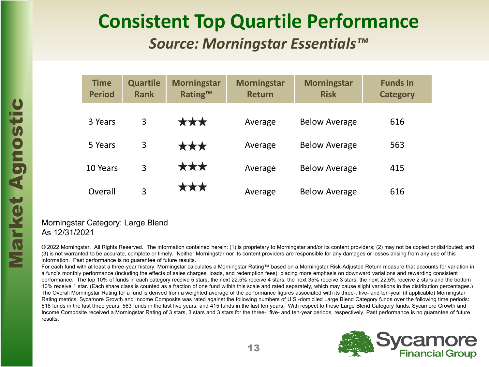#### **Consistent Top Quartile Performance**  *Source: Morningstar Essentials™*

|                         |                                                                                                                                                                                                                                                                                                                                                                                                                                                                                                                                                                            | <b>Time</b><br><b>Period</b> | <b>Quartile</b><br><b>Rank</b> | <b>Morningstar</b><br><b>Rating™</b> | <b>Morningstar</b><br><b>Return</b> | <b>Morningstar</b><br><b>Risk</b> | <b>Funds In</b><br><b>Category</b> |  |  |  |
|-------------------------|----------------------------------------------------------------------------------------------------------------------------------------------------------------------------------------------------------------------------------------------------------------------------------------------------------------------------------------------------------------------------------------------------------------------------------------------------------------------------------------------------------------------------------------------------------------------------|------------------------------|--------------------------------|--------------------------------------|-------------------------------------|-----------------------------------|------------------------------------|--|--|--|
| $\boldsymbol{c}$<br>Sti |                                                                                                                                                                                                                                                                                                                                                                                                                                                                                                                                                                            | 3 Years                      | 3                              | ***                                  | Average                             | <b>Below Average</b>              | 616                                |  |  |  |
|                         |                                                                                                                                                                                                                                                                                                                                                                                                                                                                                                                                                                            | 5 Years                      | 3                              | ***                                  | Average                             | <b>Below Average</b>              | 563                                |  |  |  |
| Agno                    |                                                                                                                                                                                                                                                                                                                                                                                                                                                                                                                                                                            | 10 Years                     | 3                              | ***                                  | Average                             | <b>Below Average</b>              | 415                                |  |  |  |
|                         |                                                                                                                                                                                                                                                                                                                                                                                                                                                                                                                                                                            | Overall                      | 3                              | ***                                  | Average                             | <b>Below Average</b>              | 616                                |  |  |  |
| tex<br>$\bf Q$          | Morningstar Category: Large Blend<br>As 12/31/2021                                                                                                                                                                                                                                                                                                                                                                                                                                                                                                                         |                              |                                |                                      |                                     |                                   |                                    |  |  |  |
|                         | © 2022 Morningstar. All Rights Reserved. The information contained herein: (1) is proprietary to Morningstar and/or its content providers; (2) may not be copied<br>(3) is not warranted to be accurate, complete or timely. Neither Morningstar nor its content providers are responsible for any damages or losses arising from any<br>information. Past performance is no guarantee of future results.<br>For each fund with at least a three-vear history. Morningstar calculates a Morningstar Rating™ based on a Morningstar Risk-Adjusted Return measure that accou |                              |                                |                                      |                                     |                                   |                                    |  |  |  |

#### As 12/31/2021

© 2022 Morningstar. All Rights Reserved. The information contained herein: (1) is proprietary to Morningstar and/or its content providers; (2) may not be copied or distributed; and (3) is not warranted to be accurate, complete or timely. Neither Morningstar nor its content providers are responsible for any damages or losses arising from any use of this information. Past performance is no guarantee of future results.

For each fund with at least a three-year history, Morningstar calculates a Morningstar Rating™ based on a Morningstar Risk-Adjusted Return measure that accounts for variation in a fund's monthly performance (including the effects of sales charges, loads, and redemption fees), placing more emphasis on downward variations and rewarding consistent performance. The top 10% of funds in each category receive 5 stars, the next 22.5% receive 4 stars, the next 35% receive 3 stars, the next 22.5% receive 2 stars and the bottom 10% receive 1 star. (Each share class is counted as a fraction of one fund within this scale and rated separately, which may cause slight variations in the distribution percentages.) The Overall Morningstar Rating for a fund is derived from a weighted average of the performance figures associated with its three-, five- and ten-year (if applicable) Morningstar Rating metrics. Sycamore Growth and Income Composite was rated against the following numbers of U.S.-domiciled Large Blend Category funds over the following time periods: 616 funds in the last three years, 563 funds in the last five years, and 415 funds in the last ten years. With respect to these Large Blend Category funds, Sycamore Growth and Income Composite received a Morningstar Rating of 3 stars, 3 stars and 3 stars for the three-, five- and ten-year periods, respectively. Past performance is no guarantee of future results.

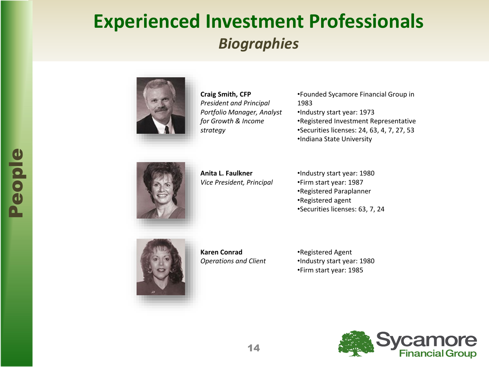### **Experienced Investment Professionals** *Biographies*



**Craig Smith, CFP** *President and Principal Portfolio Manager, Analyst for Growth & Income strategy*

- •Founded Sycamore Financial Group in 1983
- •Industry start year: 1973
- •Registered Investment Representative
- •Securities licenses: 24, 63, 4, 7, 27, 53
- •Indiana State University



**Anita L. Faulkner** *Vice President, Principal*

•Industry start year: 1980 •Firm start year: 1987 •Registered Paraplanner •Registered agent •Securities licenses: 63, 7, 24



**Karen Conrad**  *Operations and Client*  •Registered Agent •Industry start year: 1980 •Firm start year: 1985

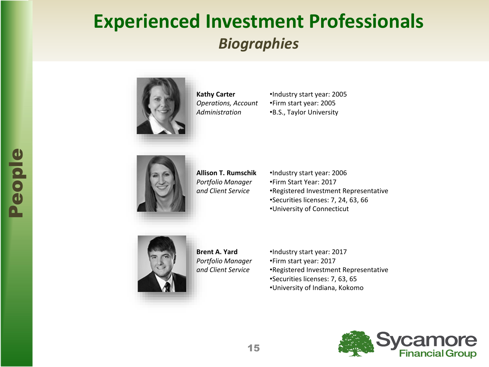### **Experienced Investment Professionals** *Biographies*



**Kathy Carter** *Operations, Account Administration*

•Industry start year: 2005 •Firm start year: 2005 •B.S., Taylor University



**Allison T. Rumschik** *Portfolio Manager and Client Service*

•Industry start year: 2006 •Firm Start Year: 2017 •Registered Investment Representative •Securities licenses: 7, 24, 63, 66 •University of Connecticut



**Brent A. Yard** *Portfolio Manager and Client Service*

•Industry start year: 2017 •Firm start year: 2017 •Registered Investment Representative •Securities licenses: 7, 63, 65 •University of Indiana, Kokomo

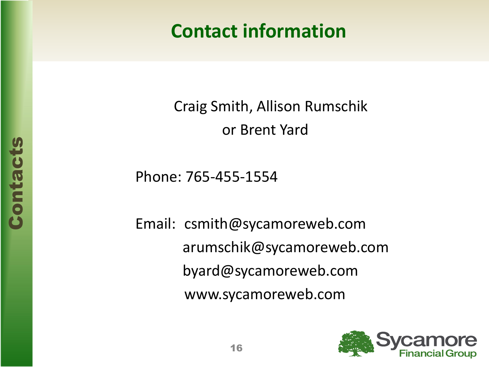# **Contact information**

Craig Smith, Allison Rumschik or Brent Yard

Phone: 765-455-1554

Email: csmith@sycamoreweb.com arumschik@sycamoreweb.com byard@sycamoreweb.com www.sycamoreweb.com